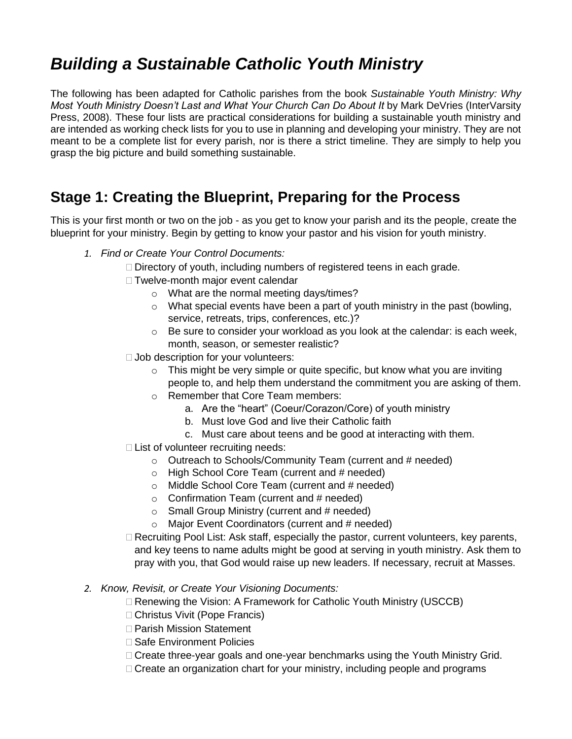# *Building a Sustainable Catholic Youth Ministry*

The following has been adapted for Catholic parishes from the book *Sustainable Youth Ministry: Why Most Youth Ministry Doesn't Last and What Your Church Can Do About It* by Mark DeVries (InterVarsity Press, 2008). These four lists are practical considerations for building a sustainable youth ministry and are intended as working check lists for you to use in planning and developing your ministry. They are not meant to be a complete list for every parish, nor is there a strict timeline. They are simply to help you grasp the big picture and build something sustainable.

#### **Stage 1: Creating the Blueprint, Preparing for the Process**

This is your first month or two on the job - as you get to know your parish and its the people, create the blueprint for your ministry. Begin by getting to know your pastor and his vision for youth ministry.

- *1. Find or Create Your Control Documents:*
	- $\Box$  Directory of youth, including numbers of registered teens in each grade.
	- □ Twelve-month major event calendar
		- o What are the normal meeting days/times?
		- o What special events have been a part of youth ministry in the past (bowling, service, retreats, trips, conferences, etc.)?
		- $\circ$  Be sure to consider your workload as you look at the calendar: is each week, month, season, or semester realistic?
	- $\Box$  Job description for your volunteers:
		- $\circ$  This might be very simple or quite specific, but know what you are inviting people to, and help them understand the commitment you are asking of them.
		- o Remember that Core Team members:
			- a. Are the "heart" (Coeur/Corazon/Core) of youth ministry
			- b. Must love God and live their Catholic faith
			- c. Must care about teens and be good at interacting with them.
	- □ List of volunteer recruiting needs:
		- o Outreach to Schools/Community Team (current and # needed)
		- $\circ$  High School Core Team (current and # needed)
		- $\circ$  Middle School Core Team (current and # needed)
		- $\circ$  Confirmation Team (current and # needed)
		- $\circ$  Small Group Ministry (current and # needed)
		- $\circ$  Major Event Coordinators (current and # needed)
	- $\Box$  Recruiting Pool List: Ask staff, especially the pastor, current volunteers, key parents, and key teens to name adults might be good at serving in youth ministry. Ask them to pray with you, that God would raise up new leaders. If necessary, recruit at Masses.

#### *2. Know, Revisit, or Create Your Visioning Documents:*

- □ Renewing the Vision: A Framework for Catholic Youth Ministry (USCCB)
- □ Christus Vivit (Pope Francis)
- □ Parish Mission Statement
- □ Safe Environment Policies
- □ Create three-year goals and one-year benchmarks using the Youth Ministry Grid.
- $\Box$  Create an organization chart for your ministry, including people and programs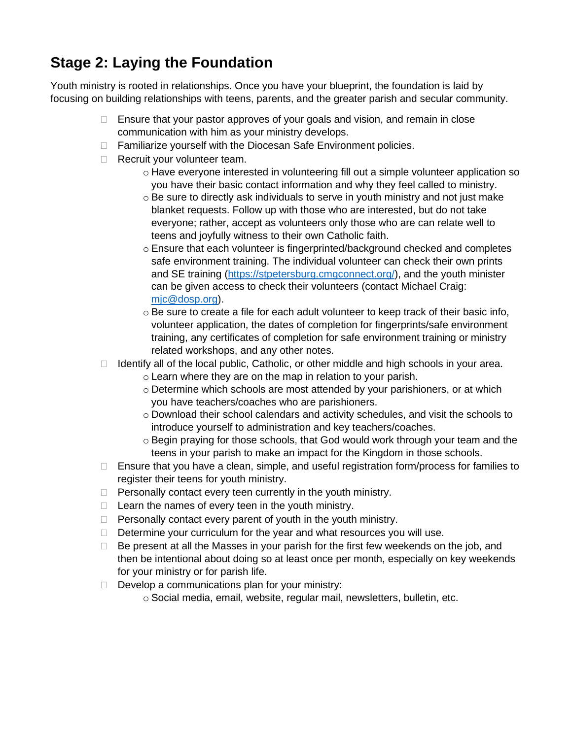## **Stage 2: Laying the Foundation**

Youth ministry is rooted in relationships. Once you have your blueprint, the foundation is laid by focusing on building relationships with teens, parents, and the greater parish and secular community.

- $\Box$  Ensure that your pastor approves of your goals and vision, and remain in close communication with him as your ministry develops.
- □ Familiarize yourself with the Diocesan Safe Environment policies.
- Recruit your volunteer team.
	- o Have everyone interested in volunteering fill out a simple volunteer application so you have their basic contact information and why they feel called to ministry.
	- $\circ$  Be sure to directly ask individuals to serve in youth ministry and not just make blanket requests. Follow up with those who are interested, but do not take everyone; rather, accept as volunteers only those who are can relate well to teens and joyfully witness to their own Catholic faith.
	- $\circ$  Ensure that each volunteer is fingerprinted/background checked and completes safe environment training. The individual volunteer can check their own prints and SE training [\(https://stpetersburg.cmgconnect.org/\)](https://stpetersburg.cmgconnect.org/), and the youth minister can be given access to check their volunteers (contact Michael Craig: [mjc@dosp.org\)](mailto:mjc@dosp.org).
	- $\circ$  Be sure to create a file for each adult volunteer to keep track of their basic info, volunteer application, the dates of completion for fingerprints/safe environment training, any certificates of completion for safe environment training or ministry related workshops, and any other notes.
- $\Box$  Identify all of the local public, Catholic, or other middle and high schools in your area.
	- o Learn where they are on the map in relation to your parish.
	- $\circ$  Determine which schools are most attended by your parishioners, or at which you have teachers/coaches who are parishioners.
	- $\circ$  Download their school calendars and activity schedules, and visit the schools to introduce yourself to administration and key teachers/coaches.
	- $\circ$  Begin praying for those schools, that God would work through your team and the teens in your parish to make an impact for the Kingdom in those schools.
- $\Box$  Ensure that you have a clean, simple, and useful registration form/process for families to register their teens for youth ministry.
- $\Box$  Personally contact every teen currently in the youth ministry.
- $\Box$  Learn the names of every teen in the youth ministry.
- $\Box$  Personally contact every parent of youth in the youth ministry.
- $\Box$  Determine your curriculum for the year and what resources you will use.
- $\Box$  Be present at all the Masses in your parish for the first few weekends on the job, and then be intentional about doing so at least once per month, especially on key weekends for your ministry or for parish life.
- $\Box$  Develop a communications plan for your ministry:
	- o Social media, email, website, regular mail, newsletters, bulletin, etc.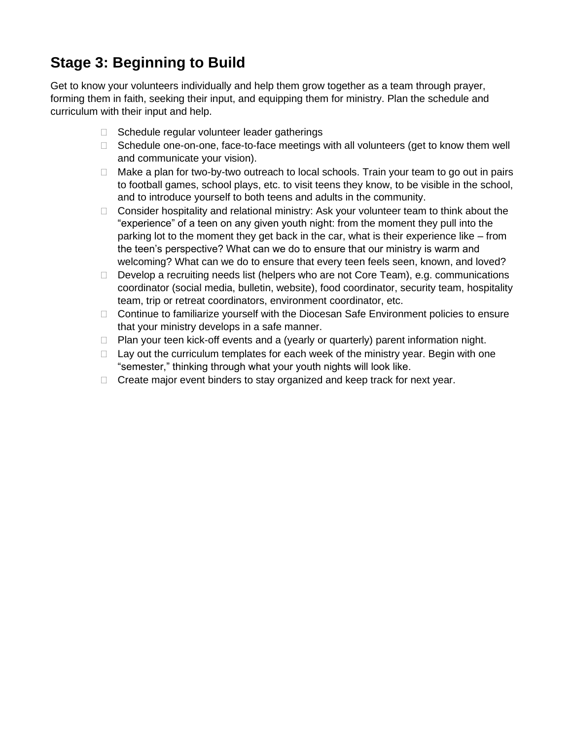#### **Stage 3: Beginning to Build**

Get to know your volunteers individually and help them grow together as a team through prayer, forming them in faith, seeking their input, and equipping them for ministry. Plan the schedule and curriculum with their input and help.

- $\Box$  Schedule regular volunteer leader gatherings
- $\Box$  Schedule one-on-one, face-to-face meetings with all volunteers (get to know them well and communicate your vision).
- □ Make a plan for two-by-two outreach to local schools. Train your team to go out in pairs to football games, school plays, etc. to visit teens they know, to be visible in the school, and to introduce yourself to both teens and adults in the community.
- □ Consider hospitality and relational ministry: Ask your volunteer team to think about the "experience" of a teen on any given youth night: from the moment they pull into the parking lot to the moment they get back in the car, what is their experience like – from the teen's perspective? What can we do to ensure that our ministry is warm and welcoming? What can we do to ensure that every teen feels seen, known, and loved?
- Develop a recruiting needs list (helpers who are not Core Team), e.g. communications coordinator (social media, bulletin, website), food coordinator, security team, hospitality team, trip or retreat coordinators, environment coordinator, etc.
- $\Box$  Continue to familiarize yourself with the Diocesan Safe Environment policies to ensure that your ministry develops in a safe manner.
- $\Box$  Plan your teen kick-off events and a (yearly or quarterly) parent information night.
- $\Box$  Lay out the curriculum templates for each week of the ministry year. Begin with one "semester," thinking through what your youth nights will look like.
- $\Box$  Create major event binders to stay organized and keep track for next year.